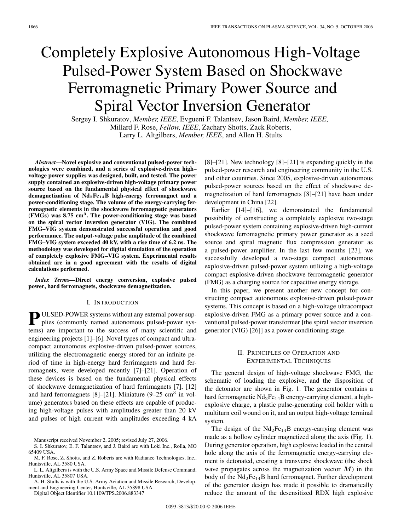# Completely Explosive Autonomous High-Voltage Pulsed-Power System Based on Shockwave Ferromagnetic Primary Power Source and Spiral Vector Inversion Generator

Sergey I. Shkuratov, *Member, IEEE*, Evgueni F. Talantsev, Jason Baird, *Member, IEEE*, Millard F. Rose, *Fellow, IEEE*, Zachary Shotts, Zack Roberts, Larry L. Altgilbers, *Member, IEEE*, and Allen H. Stults

*Abstract***—Novel explosive and conventional pulsed-power technologies were combined, and a series of explosive-driven high– voltage power supplies was designed, built, and tested. The power supply contained an explosive-driven high-voltage primary power source based on the fundamental physical effect of shockwave demagnetization of Nd2Fe14B high-energy ferromagnet and a power-conditioning stage. The volume of the energy-carrying ferromagnetic elements in the shockwave ferromagnetic generators (FMGs) was 8.75 cm<sup>3</sup>. The power-conditioning stage was based on the spiral vector inversion generator (VIG). The combined FMG–VIG system demonstrated successful operation and good performance. The output-voltage pulse amplitude of the combined FMG–VIG system exceeded 40 kV, with a rise time of 6.2 ns. The methodology was developed for digital simulation of the operation of completely explosive FMG–VIG system. Experimental results obtained are in a good agreement with the results of digital calculations performed.**

*Index Terms***—Direct energy conversion, explosive pulsed power, hard ferromagnets, shockwave demagnetization.**

### I. INTRODUCTION

**P** ULSED-POWER systems without any external power supplies (commonly named autonomous pulsed-power systems) are important to the success of many scientific and engineering projects [1]–[6]. Novel types of compact and ultracompact autonomous explosive-driven pulsed-power sources, utilizing the electromagnetic energy stored for an infinite period of time in high-energy hard ferrimagnets and hard ferromagnets, were developed recently [7]–[21]. Operation of these devices is based on the fundamental physical effects of shockwave demagnetization of hard ferrimagnets [7], [12] and hard ferromagnets  $[8]$ – $[21]$ . Miniature (9–25 cm<sup>3</sup> in volume) generators based on these effects are capable of producing high-voltage pulses with amplitudes greater than 20 kV and pulses of high current with amplitudes exceeding 4 kA

Manuscript received November 2, 2005; revised July 27, 2006.

S. I. Shkuratov, E. F. Talantsev, and J. Baird are with Loki Inc., Rolla, MO 65409 USA.

M. F. Rose, Z. Shotts, and Z. Roberts are with Radiance Technologies, Inc., Huntsville, AL 3580 USA.

L. L. Altgilbers is with the U.S. Army Space and Missile Defense Command, Huntsville, AL 35807 USA.

A. H. Stults is with the U.S. Army Aviation and Missile Research, Development and Engineering Center, Huntsville, AL 35898 USA.

Digital Object Identifier 10.1109/TPS.2006.883347

[8]–[21]. New technology [8]–[21] is expanding quickly in the pulsed-power research and engineering community in the U.S. and other countries. Since 2005, explosive-driven autonomous pulsed-power sources based on the effect of shockwave demagnetization of hard ferromagnets [8]–[21] have been under development in China [22].

Earlier [14]–[16], we demonstrated the fundamental possibility of constructing a completely explosive two-stage pulsed-power system containing explosive-driven high-current shockwave ferromagnetic primary power generator as a seed source and spiral magnetic flux compression generator as a pulsed-power amplifier. In the last few months [23], we successfully developed a two-stage compact autonomous explosive-driven pulsed-power system utilizing a high-voltage compact explosive-driven shockwave ferromagnetic generator (FMG) as a charging source for capacitive energy storage.

In this paper, we present another new concept for constructing compact autonomous explosive-driven pulsed-power systems. This concept is based on a high-voltage ultracompact explosive-driven FMG as a primary power source and a conventional pulsed-power transformer [the spiral vector inversion generator (VIG) [26]] as a power-conditioning stage.

# II. PRINCIPLES OF OPERATION AND EXPERIMENTAL TECHNIQUES

The general design of high-voltage shockwave FMG, the schematic of loading the explosive, and the disposition of the detonator are shown in Fig. 1. The generator contains a hard ferromagnetic  $Nd_2Fe_{14}B$  energy-carrying element, a highexplosive charge, a plastic pulse-generating coil holder with a multiturn coil wound on it, and an output high-voltage terminal system.

The design of the  $Nd_2Fe_{14}B$  energy-carrying element was made as a hollow cylinder magnetized along the axis (Fig. 1). During generator operation, high explosive loaded in the central hole along the axis of the ferromagnetic energy-carrying element is detonated, creating a transverse shockwave (the shock wave propagates across the magnetization vector  $M$ ) in the body of the  $Nd_2Fe_{14}B$  hard ferromagnet. Further development of the generator design has made it possible to dramatically reduce the amount of the desensitized RDX high explosive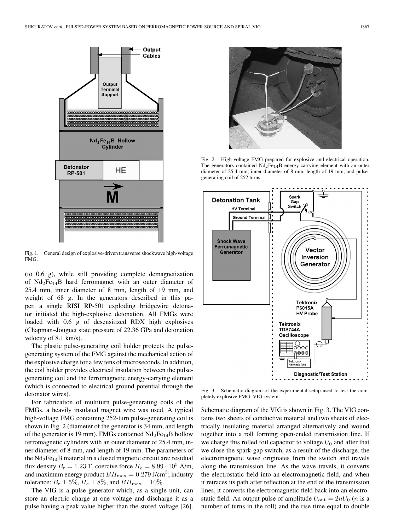

Fig. 1. General design of explosive-driven transverse shockwave high-voltage FMG.

(to 0.6 g), while still providing complete demagnetization of  $Nd_2Fe_{14}B$  hard ferromagnet with an outer diameter of 25.4 mm, inner diameter of 8 mm, length of 19 mm, and weight of 68 g. In the generators described in this paper, a single RISI RP-501 exploding bridgewire detonator initiated the high-explosive detonation. All FMGs were loaded with 0.6 g of desensitized RDX high explosives (Chapman–Jouguet state pressure of 22.36 GPa and detonation velocity of 8.1 km/s).

The plastic pulse-generating coil holder protects the pulsegenerating system of the FMG against the mechanical action of the explosive charge for a few tens of microseconds. In addition, the coil holder provides electrical insulation between the pulsegenerating coil and the ferromagnetic energy-carrying element (which is connected to electrical ground potential through the detonator wires).

For fabrication of multiturn pulse-generating coils of the FMGs, a heavily insulated magnet wire was used. A typical high-voltage FMG containing 252-turn pulse-generating coil is shown in Fig. 2 (diameter of the generator is 34 mm, and length of the generator is 19 mm). FMGs contained  $Nd_2Fe_{14}B$  hollow ferromagnetic cylinders with an outer diameter of 25.4 mm, inner diameter of 8 mm, and length of 19 mm. The parameters of the  $Nd<sub>2</sub>Fe<sub>14</sub>B$  material in a closed magnetic circuit are: residual flux density  $B_r = 1.23$  T, coercive force  $H_c = 8.99 \cdot 10^5$  A/m, and maximum energy product  $BH_{\text{max}} = 0.279 \text{ J/cm}^3$ ; industry tolerance:  $B_r \pm 5\%, H_c \pm 8\%,$  and  $BH_{\text{max}} \pm 10\%.$ 

The VIG is a pulse generator which, as a single unit, can store an electric charge at one voltage and discharge it as a pulse having a peak value higher than the stored voltage [26].



Fig. 2. High-voltage FMG prepared for explosive and electrical operation. The generators contained  $Nd_2Fe_{14}B$  energy-carrying element with an outer diameter of 25.4 mm, inner diameter of 8 mm, length of 19 mm, and pulsegenerating coil of 252 turns.



Fig. 3. Schematic diagram of the experimental setup used to test the completely explosive FMG–VIG system.

Schematic diagram of the VIG is shown in Fig. 3. The VIG contains two sheets of conductive material and two sheets of electrically insulating material arranged alternatively and wound together into a roll forming open-ended transmission line. If we charge this rolled foil capacitor to voltage  $U_0$  and after that we close the spark-gap switch, as a result of the discharge, the electromagnetic wave originates from the switch and travels along the transmission line. As the wave travels, it converts the electrostatic field into an electromagnetic field, and when it retraces its path after reflection at the end of the transmission lines, it converts the electromagnetic field back into an electrostatic field. An output pulse of amplitude  $U_{\text{out}} = 2nU_0$  (*n* is a number of turns in the roll) and the rise time equal to double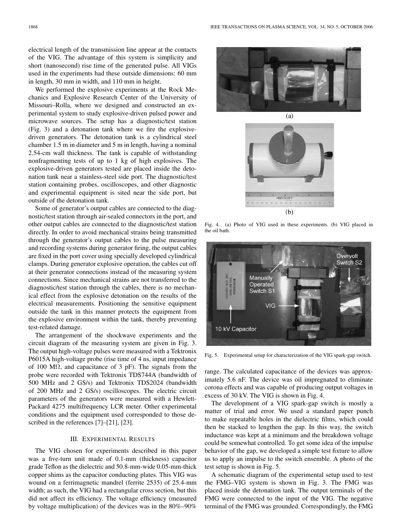electrical length of the transmission line appear at the contacts of the VIG. The advantage of this system is simplicity and short (nanosecond) rise time of the generated pulse. All VIGs used in the experiments had these outside dimensions: 60 mm in length, 30 mm in width, and 110 mm in height.

We performed the explosive experiments at the Rock Mechanics and Explosive Research Center of the University of Missouri–Rolla, where we designed and constructed an experimental system to study explosive-driven pulsed power and microwave sources. The setup has a diagnostic/test station (Fig. 3) and a detonation tank where we fire the explosivedriven generators. The detonation tank is a cylindrical steel chamber 1.5 m in diameter and 5 m in length, having a nominal 2.54-cm wall thickness. The tank is capable of withstanding nonfragmenting tests of up to 1 kg of high explosives. The explosive-driven generators tested are placed inside the detonation tank near a stainless-steel side port. The diagnostic/test station containing probes, oscilloscopes, and other diagnostic and experimental equipment is sited near the side port, but outside of the detonation tank.

Some of generator's output cables are connected to the diagnostic/test station through air-sealed connectors in the port, and other output cables are connected to the diagnostic/test station directly. In order to avoid mechanical strains being transmitted through the generator's output cables to the pulse measuring and recording systems during generator firing, the output cables are fixed in the port cover using specially developed cylindrical clamps. During generator explosive operation, the cables cut off at their generator connections instead of the measuring system connections. Since mechanical strains are not transferred to the diagnostic/test station through the cables, there is no mechanical effect from the explosive detonation on the results of the electrical measurements. Positioning the sensitive equipment outside the tank in this manner protects the equipment from the explosive environment within the tank, thereby preventing test-related damage.

The arrangement of the shockwave experiments and the circuit diagram of the measuring system are given in Fig. 3. The output high-voltage pulses were measured with a Tektronix P6015A high-voltage probe (rise time of 4 ns, input impedance of 100 M $\Omega$ , and capacitance of 3 pF). The signals from the probe were recorded with Tektronix TDS744A (bandwidth of 500 MHz and 2 GS/s) and Tektronix TDS2024 (bandwidth of 200 MHz and 2 GS/s) oscilloscopes. The electric circuit parameters of the generators were measured with a Hewlett-Packard 4275 multifrequency LCR meter. Other experimental conditions and the equipment used corresponded to those described in the references [7]–[21], [23].

## III. EXPERIMENTAL RESULTS

The VIG chosen for experiments described in this paper was a five-turn unit made of 0.1-mm (thickness) capacitor grade Teflon as the dielectric and 50.8-mm-wide 0.05-mm-thick copper shims as the capacitor conducting plates. This VIG was wound on a ferrimagnetic mandrel (ferrite 2535) of 25.4-mm width; as such, the VIG had a rectangular cross section, but this did not affect its efficiency. The voltage efficiency (measured by voltage multiplication) of the devices was in the 80%–90%





Fig. 4. (a) Photo of VIG used in these experiments. (b) VIG placed in the oil bath.



Fig. 5. Experimental setup for characterization of the VIG spark-gap switch.

range. The calculated capacitance of the devices was approximately 5.6 nF. The device was oil impregnated to eliminate corona effects and was capable of producing output voltages in excess of 30 kV. The VIG is shown in Fig. 4.

The development of a VIG spark-gap switch is mostly a matter of trial and error. We used a standard paper punch to make repeatable holes in the dielectric films, which could then be stacked to lengthen the gap. In this way, the switch inductance was kept at a minimum and the breakdown voltage could be somewhat controlled. To get some idea of the impulse behavior of the gap, we developed a simple test fixture to allow us to apply an impulse to the switch ensemble. A photo of the test setup is shown in Fig. 5.

A schematic diagram of the experimental setup used to test the FMG–VIG system is shown in Fig. 3. The FMG was placed inside the detonation tank. The output terminals of the FMG were connected to the input of the VIG. The negative terminal of the FMG was grounded. Correspondingly, the FMG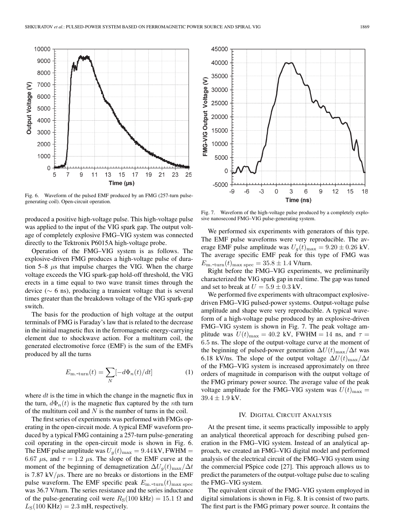

Fig. 6. Waveform of the pulsed EMF produced by an FMG (257-turn pulsegenerating coil). Open-circuit operation.

produced a positive high-voltage pulse. This high-voltage pulse was applied to the input of the VIG spark gap. The output voltage of completely explosive FMG–VIG system was connected directly to the Tektronix P6015A high-voltage probe.

Operation of the FMG–VIG system is as follows. The explosive-driven FMG produces a high-voltage pulse of duration  $5-8$   $\mu$ s that impulse charges the VIG. When the charge voltage exceeds the VIG spark-gap hold-off threshold, the VIG erects in a time equal to two wave transit times through the device ( $∼$  6 ns), producing a transient voltage that is several times greater than the breakdown voltage of the VIG spark-gap switch.

The basis for the production of high voltage at the output terminals of FMG is Faraday's law that is related to the decrease in the initial magnetic flux in the ferromagnetic energy-carrying element due to shockwave action. For a multiturn coil, the generated electromotive force (EMF) is the sum of the EMFs produced by all the turns

$$
E_{\rm m. + turn}(t) = \sum_{N} \left[ -d\Phi_n(t)/dt \right] \tag{1}
$$

where  $dt$  is the time in which the change in the magnetic flux in the turn,  $d\Phi_n(t)$  is the magnetic flux captured by the *n*th turn of the multiturn coil and  $N$  is the number of turns in the coil.

The first series of experiments was performed with FMGs operating in the open-circuit mode. A typical EMF waveform produced by a typical FMG containing a 257-turn pulse-generating coil operating in the open-circuit mode is shown in Fig. 6. The EMF pulse amplitude was  $U_q(t)_{\text{max}} = 9.44 \text{ kV}$ , FWHM = 6.67  $\mu$ s, and  $\tau = 1.2 \mu$ s. The slope of the EMF curve at the moment of the beginning of demagnetization  $\Delta U_q(t)_{\text{max}}/\Delta t$ is 7.87 kV/ $\mu$ s. There are no breaks or distortions in the EMF pulse waveform. The EMF specific peak  $E_{\text{m-turn}}(t)_{\text{max spec}}$ was 36.7 V/turn. The series resistance and the series inductance of the pulse-generating coil were  $R<sub>S</sub>(100 kHz) = 15.1 \Omega$  and  $L<sub>S</sub>(100 \text{ KHz})=2.3 \text{ mH}$ , respectively.



Fig. 7. Waveform of the high-voltage pulse produced by a completely explosive nanosecond FMG–VIG pulse-generating system.

We performed six experiments with generators of this type. The EMF pulse waveforms were very reproducible. The average EMF pulse amplitude was  $U_q(t)_{\text{max}} = 9.20 \pm 0.26 \text{ kV}$ . The average specific EMF peak for this type of FMG was  $E_{\text{m-turn}}(t)_{\text{max spec}} = 35.8 \pm 1.4 \text{ V/turn.}$ 

Right before the FMG–VIG experiments, we preliminarily characterized the VIG spark gap in real time. The gap was tuned and set to break at  $U = 5.9 \pm 0.3$  kV.

We performed five experiments with ultracompact explosivedriven FMG–VIG pulsed-power systems. Output-voltage pulse amplitude and shape were very reproducible. A typical waveform of a high-voltage pulse produced by an explosive-driven FMG–VIG system is shown in Fig. 7. The peak voltage amplitude was  $U(t)_{\text{max}} = 40.2 \text{ kV}$ , FWHM = 14 ns, and  $\tau =$ 6.5 ns. The slope of the output-voltage curve at the moment of the beginning of pulsed-power generation  $\Delta U(t)_{\text{max}}/\Delta t$  was 6.18 kV/ns. The slope of the output voltage  $\Delta U(t)_{\text{max}}/\Delta t$ of the FMG–VIG system is increased approximately on three orders of magnitude in comparison with the output voltage of the FMG primary power source. The average value of the peak voltage amplitude for the FMG–VIG system was  $U(t)_{\text{max}} =$  $39.4 \pm 1.9$  kV.

## IV. DIGITAL CIRCUIT ANALYSIS

At the present time, it seems practically impossible to apply an analytical theoretical approach for describing pulsed generation in the FMG–VIG system. Instead of an analytical approach, we created an FMG–VIG digital model and performed analysis of the electrical circuit of the FMG–VIG system using the commercial PSpice code [27]. This approach allows us to predict the parameters of the output-voltage pulse due to scaling the FMG–VIG system.

The equivalent circuit of the FMG–VIG system employed in digital simulations is shown in Fig. 8. It is consist of two parts. The first part is the FMG primary power source. It contains the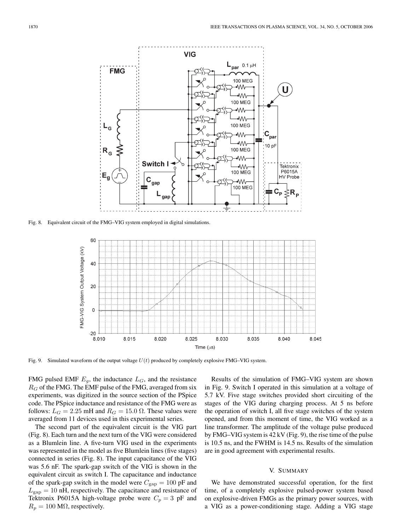

Fig. 8. Equivalent circuit of the FMG–VIG system employed in digital simulations.



Fig. 9. Simulated waveform of the output voltage *U*(*t*) produced by completely explosive FMG–VIG system.

FMG pulsed EMF  $E<sub>g</sub>$ , the inductance  $L<sub>G</sub>$ , and the resistance  $R_G$  of the FMG. The EMF pulse of the FMG, averaged from six<br>averaginents, we distinct in the saure section of the PSpice experiments, was digitized in the source section of the PSpice code. The PSpice inductance and resistance of the FMG were as follows:  $L_G = 2.25$  mH and  $R_G = 15.0 \Omega$ . These values were averaged from 11 devices used in this experimental series.

The second part of the equivalent circuit is the VIG part (Fig. 8). Each turn and the next turn of the VIG were considered as a Blumlein line. A five-turn VIG used in the experiments was represented in the model as five Blumlein lines (five stages) connected in series (Fig. 8). The input capacitance of the VIG was 5.6 nF. The spark-gap switch of the VIG is shown in the equivalent circuit as switch I. The capacitance and inductance of the spark-gap switch in the model were  $C_{\text{gap}} = 100 \text{ pF}$  and  $L_{\text{gap}} = 10 \text{ nH}$ , respectively. The capacitance and resistance of Talittaniu. D6015A, bigh valtage graphs were  $C = 3 \text{ nF}$  and Tektronix P6015A high-voltage probe were  $C_p = 3$  pF and  $R_p = 100 \text{ M}\Omega$ , respectively.

Results of the simulation of FMG–VIG system are shown in Fig. 9. Switch I operated in this simulation at a voltage of 5.7 kV. Five stage switches provided short circuiting of the stages of the VIG during charging process. At 5 ns before the operation of switch I, all five stage switches of the system opened, and from this moment of time, the VIG worked as a line transformer. The amplitude of the voltage pulse produced by FMG–VIG system is 42 kV (Fig. 9), the rise time of the pulse is 10.5 ns, and the FWHM is 14.5 ns. Results of the simulation are in good agreement with experimental results.

#### V. SUMMARY

We have demonstrated successful operation, for the first time, of a completely explosive pulsed-power system based on explosive-driven FMGs as the primary power sources, with a VIG as a power-conditioning stage. Adding a VIG stage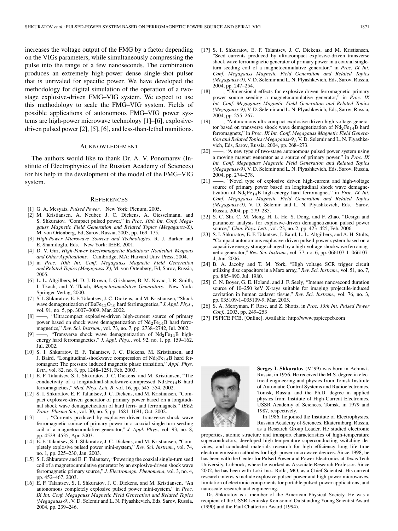increases the voltage output of the FMG by a factor depending on the VIGs parameters, while simultaneously compressing the pulse into the range of a few nanoseconds. The combination produces an extremely high-power dense single-shot pulser that is unrivaled for specific power. We have developed the methodology for digital simulation of the operation of a twostage explosive-driven FMG–VIG system. We expect to use this methodology to scale the FMG–VIG system. Fields of possible applications of autonomous FMG–VIG power systems are high-power microwave technology [1]–[6], explosivedriven pulsed power [2], [5], [6], and less-than-lethal munitions.

#### ACKNOWLEDGMENT

The authors would like to thank Dr. A. V. Ponomarev (Institute of Electrophysics of the Russian Academy of Sciences) for his help in the development of the model of the FMG–VIG system.

#### **REFERENCES**

- [1] G. A. Mesyats, *Pulsed Power*. New York: Plenum, 2005.
- [2] M. Kristiansen, A. Neuber, J. C. Dickens, A. Giesselmann, and S. Shkuratov, "Compact pulsed power," in *Proc. 10th Int. Conf. Megagauss Magnetic Field Generation and Related Topics (Megagauss-X)*, M. von Ortenberg, Ed, Sarov, Russia, 2005, pp. 169–175.
- [3] *High-Power Microwave Sources and Technologies*, R. J. Barker and E. Shamiloglu, Eds. New York: IEEE, 2001.
- [4] D. V. Giri, *High-Power Electromagnetic Radiators: Nonlethal Weapons and Other Applications*. Cambridge, MA: Harvard Univ. Press, 2004.
- [5] in *Proc. 10th Int. Conf. Megagauss Magnetic Field Generation and Related Topics (Megagauss-X)*, M. von Ortenberg, Ed, Sarov, Russia, 2005.
- [6] L. L. Altgilbers, M. D. J. Brown, I. Grishnaev, B. M. Novac, I. R. Smith, I. Tkach, and Y. Tkach, *Magnetocumulative Generators*. New York: Springer-Verlag, 2000.
- [7] S. I. Shkuratov, E. F. Talantsev, J. C. Dickens, and M. Kristiansen, "Shock wave demagnetization of BaFe<sub>12</sub>O<sub>19</sub> hard ferrimagnetics," *J. Appl. Phys.*, vol. 91, no. 5, pp. 3007–3009, Mar. 2002.
- [8] ——, "Ultracompact explosive-driven high-current source of primary power based on shock wave demagnetization of  $Nd_2Fe_{14}B$  hard ferromagnetics," *Rev. Sci. Instrum.*, vol. 73, no. 7, pp. 2738–2742, Jul. 2002.
- [9] ——, "Transverse shock wave demagnetization of  $Nd_2Fe_{14}B$  highenergy hard ferromagnetics," *J. Appl. Phys.*, vol. 92, no. 1, pp. 159–162, Jul. 2002.
- [10] S. I. Shkuratov, E. F. Talantsev, J. C. Dickens, M. Kristiansen, and J. Baird, "Longitudinal-shockwave compression of  $Nd_2Fe_{14}B$  hard ferromagnet: The pressure induced magnetic phase transition," *Appl. Phys. Lett.*, vol. 82, no. 8, pp. 1248–1251, Feb. 2003.
- [11] E. F. Talantsev, S. I. Shkuratov, J. C. Dickens, and M. Kristiansen, "The conductivity of a longitudinal-shockwave-compressed Nd<sub>2</sub>Fe<sub>14</sub>B hard ferromagnetics," *Mod. Phys. Lett. B*, vol. 16, pp. 545–554, 2002.
- [12] S. I. Shkuratov, E. F. Talantsev, J. C. Dickens, and M. Kristiansen, "Compact explosive-driven generator of primary power based on a longitudinal shock wave demagnetization of hard ferri- and ferromagnets," *IEEE Trans. Plasma Sci.*, vol. 30, no. 5, pp. 1681–1691, Oct. 2002.
- [13] ——, "Currents produced by explosive driven transverse shock wave ferromagnetic source of primary power in a coaxial single-turn seeding coil of a magnetocumulative generator," *J. Appl. Phys.*, vol. 93, no. 8, pp. 4529–4535, Apr. 2003.
- [14] E. F. Talantsev, S. I. Shkuratov, J. C. Dickens, and M. Kristiansen, "Completely explosive pulsed power mini-system," *Rev. Sci. Instrum.*, vol. 74, no. 1, pp. 225–230, Jan. 2003.
- [15] S. I. Shkuratov and E. F. Talantsev, "Powering the coaxial single-turn seed coil of a magnetocumulative generator by an explosive-driven shock wave ferromagnetic primary source," *J. Electromagn. Phenomena*, vol. 3, no. 4, pp. 452–467, 2003.
- [16] E. F. Talantsev, S. I. Shkuratov, J. C. Dickens, and M. Kristiansen, "An autonomous completely explosive pulsed power mini-system," in *Proc. IX Int. Conf. Megagauss Magnetic Field Generation and Related Topics (Megagauss-9)*, V. D. Selemir and L. N. Plyashkevich, Eds, Sarov, Russia, 2004, pp. 239–246.
- [17] S. I. Shkuratov, E. F. Talantsev, J. C. Dickens, and M. Kristiansen, "Seed currents produced by ultracompact explosive-driven transverse shock wave ferromagnetic generator of primary power in a coaxial singleturn seeding coil of a magnetocumulative generator," in *Proc. IX Int. Conf. Megagauss Magnetic Field Generation and Related Topics (Megagauss-9)*, V. D. Selemir and L. N. Plyashkevich, Eds, Sarov, Russia, 2004, pp. 247–254.
- [18] -, "Dimensional effects for explosive-driven ferromagnetic primary power source seeding a magnetocumulative generator," in *Proc. IX Int. Conf. Megagauss Magnetic Field Generation and Related Topics (Megagauss-9)*, V. D. Selemir and L. N. Plyashkevich, Eds, Sarov, Russia, 2004, pp. 255–267.
- [19] -, "Autonomous ultracompact explosive-driven high-voltage generator based on transverse shock wave demagnetization of  $Nd_2Fe_{14}B$  hard ferromagnets," in *Proc. IX Int. Conf. Megagauss Magnetic Field Generation and Related Topics (Megagauss-9)*, V. D. Selemir and L. N. Plyashkevich, Eds, Sarov, Russia, 2004, pp. 268–273.
- [20] ——, "A new type of two-stage autonomous pulsed power system using a moving magnet generator as a source of primary power," in *Proc. IX Int. Conf. Megagauss Magnetic Field Generation and Related Topics (Megagauss-9)*, V. D. Selemir and L. N. Plyashkevich, Eds, Sarov, Russia, 2004, pp. 274–278.<br>[21] —, "Novel type"
- -, "Novel type of explosive driven high-current and high-voltage source of primary power based on longitudinal shock wave demagnetization of Nd2Fe14B high-energy hard ferromagnet," in *Proc. IX Int. Conf. Megagauss Magnetic Field Generation and Related Topics (Megagauss-9)*, V. D. Selemir and L. N. Plyashkevich, Eds. Sarov, Russia, 2004, pp. 279–285.
- [22] S. C. Shi, C. M. Meng, H. L. He, S. Dong, and F. Zhao, "Design and parameter analysis for explosive-driven demagnetization pulsed power source," *Chin. Phys. Lett.*, vol. 23, no. 2, pp. 423–425, Feb. 2006.
- [23] S. I. Shkuratov, E. F. Talantsev, J. Baird, L. L. Altgilbers, and A. H. Stults, "Compact autonomous explosive-driven pulsed power system based on a capacitive energy storage charged by a high-voltage shockwave ferromagnetic generator," *Rev. Sci. Instrum.*, vol. 77, no. 6, pp. 066107-1–066107- 4, Jun. 2006.
- [24] B. A. Jacoby and T. M. York, "High voltage SCR trigger circuit utilizing disc capacitors in a Marx array," *Rev. Sci. Instrum.*, vol. 51, no. 7, pp. 885–890, Jul. 1980.
- [25] C. N. Boyer, G. E. Holand, and J. F. Seely, "Intense nanosecond duration source of 10–250 keV X-rays suitable for imaging projectile-induced cavitation in human cadaver tissue," *Rev. Sci. Instrum.*, vol. 76, no. 3, pp. 035109-1–035109-9, Mar. 2005.
- [26] S. A. Merryman, F. Rose, and Z. Shotts, in *Proc. 13th Int. Pulsed Power Conf.*, 2003, pp. 249–253
- [27] PSPICE PCB. [Online]. Available: http://www.pspicepcb.com



**Sergey I. Shkuratov** (M'99) was born in Achinsk, Russia, in 1956. He received the M.S. degree in electrical engineering and physics from Tomsk Institute of Automatic Control Systems and Radioelectronics, Tomsk, Russia, and the Ph.D. degree in applied physics from Institute of High-Current Electronics, USSR Academy of Sciences, Tomsk, in 1979 and 1987, respectively.

In 1986, he joined the Institute of Electrophysics, Russian Academy of Sciences, Ekaterinburg, Russia, as a Research Group Leader. He studied electronic

properties, atomic structure and transport characteristics of high-temperature superconductors, developed high-temperature superconducting switching devices, and conducted materials research for high efficiency long life time electron emission cathodes for high-power microwave devices. Since 1998, he has been with the Center for Pulsed Power and Power Electronics at Texas Tech University, Lubbock, where he worked as Associate Research Professor. Since 2002, he has been with Loki Inc., Rolla, MO, as a Chief Scientist. His current research interests include explosive pulsed-power and high-power microwaves, limitation of electronic components for portable pulsed-power applications, and nanoscale research and engineering.

Dr. Shkuratov is a member of the American Physical Society. He was a recipient of the USSR Leninsky Komsomol Outstanding Young Scientist Award (1990) and the Paul Chatterton Award (1994).